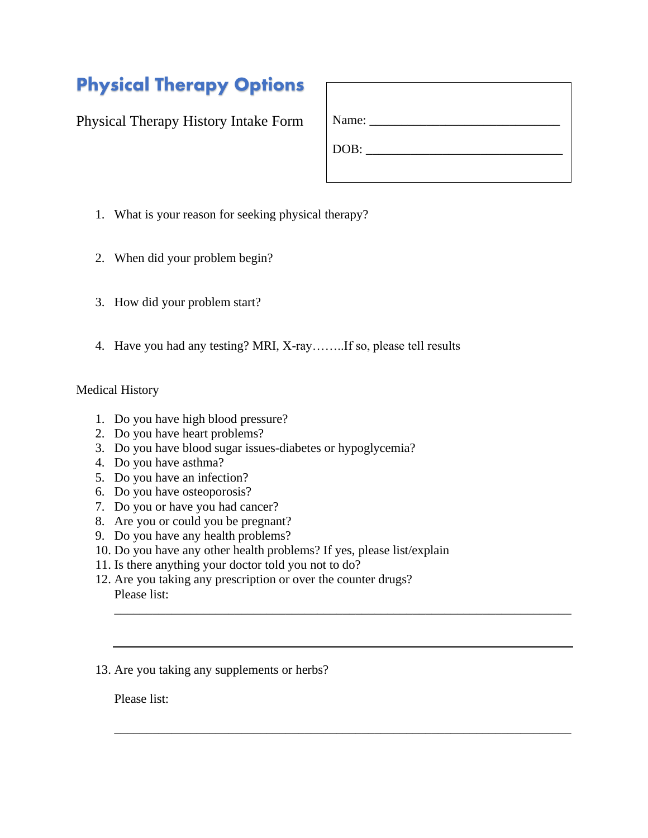## Physical Therapy Options

Physical Therapy History Intake Form

| Name: $\frac{1}{\sqrt{1-\frac{1}{2}}}\frac{1}{\sqrt{1-\frac{1}{2}}}\frac{1}{\sqrt{1-\frac{1}{2}}}\frac{1}{\sqrt{1-\frac{1}{2}}}\frac{1}{\sqrt{1-\frac{1}{2}}}\frac{1}{\sqrt{1-\frac{1}{2}}}\frac{1}{\sqrt{1-\frac{1}{2}}}\frac{1}{\sqrt{1-\frac{1}{2}}}\frac{1}{\sqrt{1-\frac{1}{2}}}\frac{1}{\sqrt{1-\frac{1}{2}}}\frac{1}{\sqrt{1-\frac{1}{2}}}\frac{1}{\sqrt{1-\frac{1}{2}}}\frac{1}{\sqrt{1-\frac{1}{2}}}\frac{1}{\$ |  |  |
|--------------------------------------------------------------------------------------------------------------------------------------------------------------------------------------------------------------------------------------------------------------------------------------------------------------------------------------------------------------------------------------------------------------------------|--|--|
| DOB:                                                                                                                                                                                                                                                                                                                                                                                                                     |  |  |
|                                                                                                                                                                                                                                                                                                                                                                                                                          |  |  |

- 1. What is your reason for seeking physical therapy?
- 2. When did your problem begin?
- 3. How did your problem start?
- 4. Have you had any testing? MRI, X-ray……..If so, please tell results

## Medical History

- 1. Do you have high blood pressure?
- 2. Do you have heart problems?
- 3. Do you have blood sugar issues-diabetes or hypoglycemia?
- 4. Do you have asthma?
- 5. Do you have an infection?
- 6. Do you have osteoporosis?
- 7. Do you or have you had cancer?
- 8. Are you or could you be pregnant?
- 9. Do you have any health problems?
- 10. Do you have any other health problems? If yes, please list/explain

\_\_\_\_\_\_\_\_\_\_\_\_\_\_\_\_\_\_\_\_\_\_\_\_\_\_\_\_\_\_\_\_\_\_\_\_\_\_\_\_\_\_\_\_\_\_\_\_\_\_\_\_\_\_\_\_\_\_\_\_\_\_\_\_\_\_\_\_\_\_\_\_

\_\_\_\_\_\_\_\_\_\_\_\_\_\_\_\_\_\_\_\_\_\_\_\_\_\_\_\_\_\_\_\_\_\_\_\_\_\_\_\_\_\_\_\_\_\_\_\_\_\_\_\_\_\_\_\_\_\_\_\_\_\_\_\_\_\_\_\_\_\_\_\_

- 11. Is there anything your doctor told you not to do?
- 12. Are you taking any prescription or over the counter drugs? Please list:
- 13. Are you taking any supplements or herbs?

Please list: